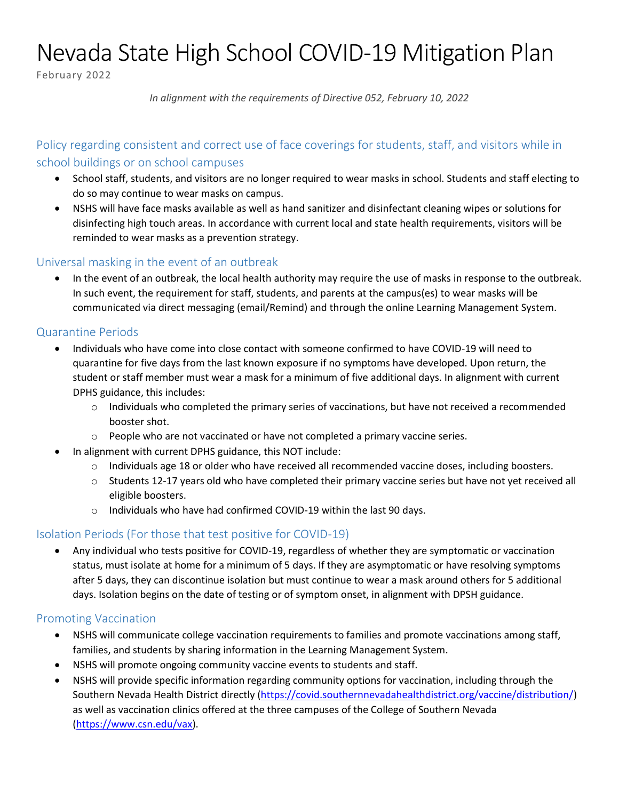# Nevada State High School COVID-19 Mitigation Plan

February 2022

*In alignment with the requirements of Directive 052, February 10, 2022*

## Policy regarding consistent and correct use of face coverings for students, staff, and visitors while in school buildings or on school campuses

- School staff, students, and visitors are no longer required to wear masks in school. Students and staff electing to do so may continue to wear masks on campus.
- NSHS will have face masks available as well as hand sanitizer and disinfectant cleaning wipes or solutions for disinfecting high touch areas. In accordance with current local and state health requirements, visitors will be reminded to wear masks as a prevention strategy.

## Universal masking in the event of an outbreak

• In the event of an outbreak, the local health authority may require the use of masks in response to the outbreak. In such event, the requirement for staff, students, and parents at the campus(es) to wear masks will be communicated via direct messaging (email/Remind) and through the online Learning Management System.

#### Quarantine Periods

- Individuals who have come into close contact with someone confirmed to have COVID-19 will need to quarantine for five days from the last known exposure if no symptoms have developed. Upon return, the student or staff member must wear a mask for a minimum of five additional days. In alignment with current DPHS guidance, this includes:
	- $\circ$  Individuals who completed the primary series of vaccinations, but have not received a recommended booster shot.
	- o People who are not vaccinated or have not completed a primary vaccine series.
- In alignment with current DPHS guidance, this NOT include:
	- o Individuals age 18 or older who have received all recommended vaccine doses, including boosters.
	- $\circ$  Students 12-17 years old who have completed their primary vaccine series but have not yet received all eligible boosters.
	- o Individuals who have had confirmed COVID-19 within the last 90 days.

## Isolation Periods (For those that test positive for COVID-19)

• Any individual who tests positive for COVID-19, regardless of whether they are symptomatic or vaccination status, must isolate at home for a minimum of 5 days. If they are asymptomatic or have resolving symptoms after 5 days, they can discontinue isolation but must continue to wear a mask around others for 5 additional days. Isolation begins on the date of testing or of symptom onset, in alignment with DPSH guidance.

#### Promoting Vaccination

- NSHS will communicate college vaccination requirements to families and promote vaccinations among staff, families, and students by sharing information in the Learning Management System.
- NSHS will promote ongoing community vaccine events to students and staff.
- NSHS will provide specific information regarding community options for vaccination, including through the Southern Nevada Health District directly (https://covid.southernnevadahealthdistrict.org/vaccine/distribution/) as well as vaccination clinics offered at the three campuses of the College of Southern Nevada (https://www.csn.edu/vax).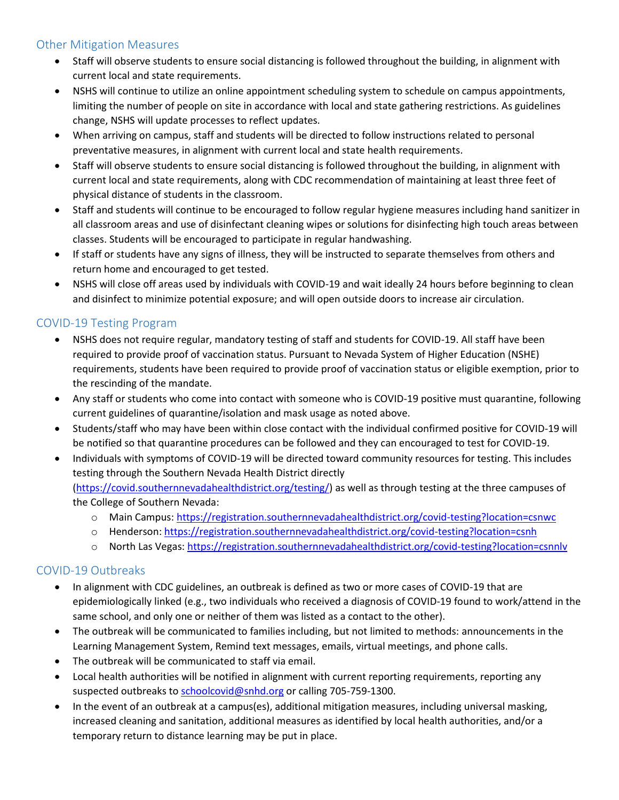## Other Mitigation Measures

- Staff will observe students to ensure social distancing is followed throughout the building, in alignment with current local and state requirements.
- NSHS will continue to utilize an online appointment scheduling system to schedule on campus appointments, limiting the number of people on site in accordance with local and state gathering restrictions. As guidelines change, NSHS will update processes to reflect updates.
- When arriving on campus, staff and students will be directed to follow instructions related to personal preventative measures, in alignment with current local and state health requirements.
- Staff will observe students to ensure social distancing is followed throughout the building, in alignment with current local and state requirements, along with CDC recommendation of maintaining at least three feet of physical distance of students in the classroom.
- Staff and students will continue to be encouraged to follow regular hygiene measures including hand sanitizer in all classroom areas and use of disinfectant cleaning wipes or solutions for disinfecting high touch areas between classes. Students will be encouraged to participate in regular handwashing.
- If staff or students have any signs of illness, they will be instructed to separate themselves from others and return home and encouraged to get tested.
- NSHS will close off areas used by individuals with COVID-19 and wait ideally 24 hours before beginning to clean and disinfect to minimize potential exposure; and will open outside doors to increase air circulation.

## COVID-19 Testing Program

- NSHS does not require regular, mandatory testing of staff and students for COVID-19. All staff have been required to provide proof of vaccination status. Pursuant to Nevada System of Higher Education (NSHE) requirements, students have been required to provide proof of vaccination status or eligible exemption, prior to the rescinding of the mandate.
- Any staff or students who come into contact with someone who is COVID-19 positive must quarantine, following current guidelines of quarantine/isolation and mask usage as noted above.
- Students/staff who may have been within close contact with the individual confirmed positive for COVID-19 will be notified so that quarantine procedures can be followed and they can encouraged to test for COVID-19.
- Individuals with symptoms of COVID-19 will be directed toward community resources for testing. This includes testing through the Southern Nevada Health District directly (https://covid.southernnevadahealthdistrict.org/testing/) as well as through testing at the three campuses of

the College of Southern Nevada:

- o Main Campus: https://registration.southernnevadahealthdistrict.org/covid-testing?location=csnwc
- o Henderson: https://registration.southernnevadahealthdistrict.org/covid-testing?location=csnh
- o North Las Vegas: https://registration.southernnevadahealthdistrict.org/covid-testing?location=csnnlv

#### COVID-19 Outbreaks

- In alignment with CDC guidelines, an outbreak is defined as two or more cases of COVID-19 that are epidemiologically linked (e.g., two individuals who received a diagnosis of COVID-19 found to work/attend in the same school, and only one or neither of them was listed as a contact to the other).
- The outbreak will be communicated to families including, but not limited to methods: announcements in the Learning Management System, Remind text messages, emails, virtual meetings, and phone calls.
- The outbreak will be communicated to staff via email.
- Local health authorities will be notified in alignment with current reporting requirements, reporting any suspected outbreaks to schoolcovid@snhd.org or calling 705-759-1300.
- In the event of an outbreak at a campus(es), additional mitigation measures, including universal masking, increased cleaning and sanitation, additional measures as identified by local health authorities, and/or a temporary return to distance learning may be put in place.